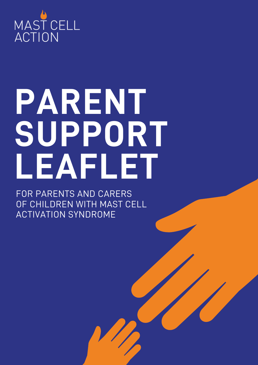

# **PARENT SUPPORT LEAFLET**

FOR PARENTS AND CARERS OF CHILDREN WITH MAST CELL ACTIVATION SYNDROME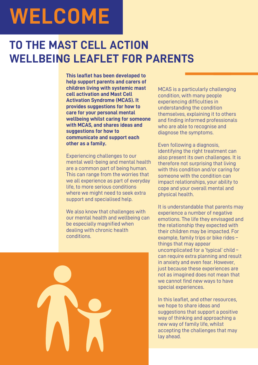## **WELCOME**

## **TO THE MAST CELL ACTION WELLBEING LEAFLET FOR PARENTS**

**This leaflet has been developed to help support parents and carers of children living with systemic mast cell activation and Mast Cell Activation Syndrome (MCAS). It provides suggestions for how to care for your personal mental wellbeing whilst caring for someone with MCAS, and shares ideas and suggestions for how to communicate and support each other as a family.**

Experiencing challenges to our mental well-being and mental health are a common part of being human. This can range from the worries that we all experience as part of everyday life, to more serious conditions where we might need to seek extra support and specialised help.

We also know that challenges with our mental health and wellbeing can be especially magnified when dealing with chronic health conditions.

MCAS is a particularly challenging condition, with many people experiencing difficulties in understanding the condition themselves, explaining it to others and finding informed professionals who are able to recognise and diagnose the symptoms.

Even following a diagnosis, identifying the right treatment can also present its own challenges. It is therefore not surprising that living with this condition and/or caring for someone with the condition can impact relationships, your ability to cope and your overall mental and physical health.

It is understandable that parents may experience a number of negative emotions. The life they envisaged and the relationship they expected with their children may be impacted. For example, family trips or bike rides – things that may appear uncomplicated for a 'typical' child – can require extra planning and result in anxiety and even fear. However, just because these experiences are not as imagined does not mean that we cannot find new ways to have special experiences.

In this leaflet, and other resources, we hope to share ideas and suggestions that support a positive way of thinking and approaching a new way of family life, whilst accepting the challenges that may lay ahead.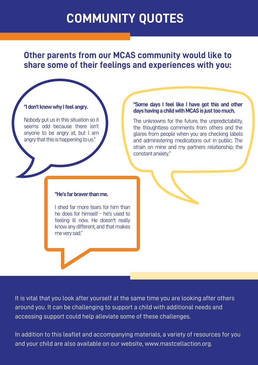## **COMMUNITY QUOTES**

**Other parents from our MCAS community would like to share some of their feelings and experiences with you:**

#### "I don't know why I feel angry.

Nobody put us in this situation so it seems odd because there isn't anyone to be angry at, but I am angry that this is happening to us."

#### **"Some days I feel like I have got this and other dayshavingachildwithMCASisjusttoomuch.**

The unknowns for the future, the unpredictability, the thoughtless comments from others and the glares from people when you are checking labels and administering medications out in public. The strain on mine and my partners relationship; the constant anxiety."

#### **"He's far braver than me.**

I shed far more tears for him than he does for himself - he's used to feeling ill now. He doesn't really know any different, and that makes meverysad."

It is vital that you look after yourself at the same time you are looking after others around you. It can be challenging to support a child with additional needs and accessing support could help alleviate some of these challenges.

In addition to this leaflet and accompanying materials, a variety of resources for you and your child are also available on our website, www.mastcellaction.org.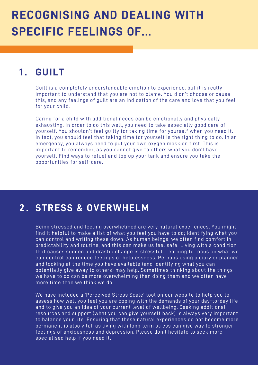## **RECOGNISING AND DEALING WITH SPECIFIC FEELINGS OF...**

### **1 . GUILT**

Guilt is a completely understandable emotion to experience, but it is really important to understand that you are not to blame. You didn't choose or cause this, and any feelings of guilt are an indication of the care and love that you feel for your child.

Caring for a child with additional needs can be emotionally and physically exhausting. In order to do this well, you need to take especially good care of yourself. You shouldn't feel guilty for taking time for yourself when you need it. In fact, you should feel that taking time for yourself is the right thing to do. In an emergency, you always need to put your own oxygen mask on first. This is important to remember, as you cannot give to others what you don't have yourself. Find ways to refuel and top up your tank and ensure you take the opportunities for self-care.

#### **STRESS & OVERWHELM 2 .**

Being stressed and feeling overwhelmed are very natural experiences. You might find it helpful to make a list of what you feel you have to do; identifying what you can control and writing these down. As human beings, we often find comfort in predictability and routine, and this can make us feel safe. Living with a condition that causes sudden and drastic change is stressful. Learning to focus on what we can control can reduce feelings of helplessness. Perhaps using a diary or planner and looking at the time you have available (and identifying what you can potentially give away to others) may help. Sometimes thinking about the things we have to do can be more overwhelming than doing them and we often have more time than we think we do.

We have included a 'Perceived Stress Scale' tool on our website to help you to assess how well you feel you are coping with the demands of your day-to-day life and to give you an idea of your current level of wellbeing. Seeking additional resources and support (what you can give yourself back) is always very important to balance your life. Ensuring that these natural experiences do not become more permanent is also vital, as living with long term stress can give way to stronger feelings of anxiousness and depression. Please don't hesitate to seek more specialised help if you need it.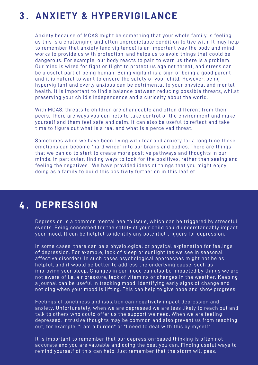### **ANXIETY & HYPERVIGILANCE 3 .**

Anxiety because of MCAS might be something that your whole family is feeling, as this is a challenging and often unpredictable condition to live with. It may help to remember that anxiety (and vigilance) is an important way the body and mind works to provide us with protection, and helps us to avoid things that could be dangerous. For example, our body reacts to pain to warn us there is a problem. Our mind is wired for fight or flight to protect us against threat, and stress can be a useful part of being human. Being vigilant is a sign of being a good parent and it is natural to want to ensure the safety of your child. However, being hypervigilant and overly anxious can be detrimental to your physical and mental health. It is important to find a balance between reducing possible threats, whilst preserving your child's independence and a curiosity about the world.

With MCAS, threats to children are changeable and often different from their peers. There are ways you can help to take control of the environment and make yourself and them feel safe and calm. It can also be useful to reflect and take time to figure out what is a real and what is a perceived threat.

Sometimes when we have been living with fear and anxiety for a long time these emotions can become "hard wired" into our brains and bodies. There are things that we can do to start to create more positive pathways and thoughts in our minds. In particular, finding ways to look for the positives, rather than seeing and feeling the negatives. We have provided ideas of things that you might enjoy doing as a family to build this positivity further on in this leaflet.

#### **DEPRESSION 4 .**

Depression is a common mental health issue, which can be triggered by stressful events. Being concerned for the safety of your child could understandably impact your mood. It can be helpful to identify any potential triggers for depression.

In some cases, there can be a physiological or physical explanation for feelings of depression. For example, lack of sleep or sunlight (as we see in seasonal affective disorder). In such cases psychological approaches might not be as helpful, and it would be better to address the underlying cause, such as improving your sleep. Changes in our mood can also be impacted by things we are not aware of i.e. air pressure, lack of vitamins or changes in the weather. Keeping a journal can be useful in tracking mood, identifying early signs of change and noticing when your mood is lifting. This can help to give hope and show progress.

Feelings of loneliness and isolation can negatively impact depression and anxiety. Unfortunately, when we are depressed we are less likely to reach out and talk to others who could offer us the support we need. When we are feeling depressed, intrusive thoughts may be common and also prevent us from reaching out, for example; "I am a burden" or "I need to deal with this by myself".

It is important to remember that our depression-based thinking is often not accurate and you are valuable and doing the best you can. Finding useful ways to remind yourself of this can help. Just remember that the storm will pass.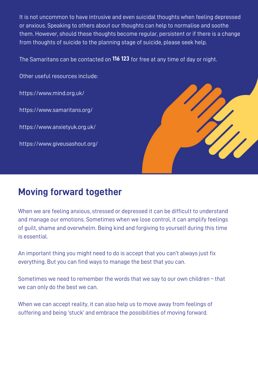It is not uncommon to have intrusive and even suicidal thoughts when feeling depressed or anxious. Speaking to others about our thoughts can help to normalise and soothe them. However, should these thoughts become regular, persistent or if there is a change from thoughts of suicide to the planning stage of suicide, please seek help.

The Samaritans can be contacted on **116 123** for free at any time of day or night.

Other useful resources include:

https://www.mind.org.uk/

https://www.samaritans.org/

https://www.anxietyuk.org.uk/

https://www.giveusashout.org/



## **Moving forward together**

When we are feeling anxious, stressed or depressed it can be difficult to understand and manage our emotions. Sometimes when we lose control, it can amplify feelings of guilt, shame and overwhelm. Being kind and forgiving to yourself during this time is essential.

An important thing you might need to do is accept that you can't always just fix everything. But you can find ways to manage the best that you can.

Sometimes we need to remember the words that we say to our own children – that we can only do the best we can.

When we can accept reality, it can also help us to move away from feelings of suffering and being 'stuck' and embrace the possibilities of moving forward.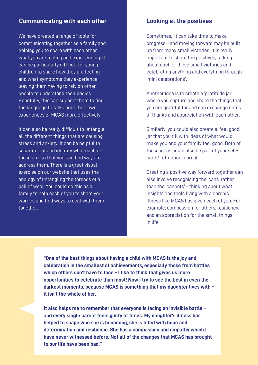#### **Communicating with each other Looking at the positives**

We have created a range of tools for communicating together as a family and helping you to share with each other what you are feeling and experiencing. It can be particularly difficult for young children to share how they are feeling and what symptoms they experience, leaving them having to rely on other people to understand their bodies. Hopefully, this can support them to find the language to talk about their own experiences of MCAS more effectively.

It can also be really difficult to untangle all the different things that are causing stress and anxiety. It can be helpful to separate out and identify what each of these are, so that you can find ways to address them. There is a great visual exercise on our website that uses the analogy of untangling the threads of a ball of wool. You could do this as a family to help each of you to share your worries and find ways to deal with them together.

Sometimes, it can take time to make progress – and moving forward may be built up from many small victories. It is really important to share the positives, talking about each of these small victories and celebrating anything and everything through 'mini celebrations'.

Another idea is to create a 'gratitude jar' where you capture and share the things that you are grateful for and can exchange notes of thanks and appreciation with each other.

Similarly, you could also create a 'feel good' jar that you fill with ideas of what would make you and your family feel good. Both of these ideas could also be part of your selfcare / reflection journal.

Creating a positive way forward together can also involve recognising the 'cans' rather than the 'cannots' – thinking about what insights and tools living with a chronic illness like MCAS has given each of you. For example, compassion for others, resiliency, and an appreciation for the small things in life.

**"One of the best things about having a child with MCAS is the joy and celebration in the smallest of achievements, especially those from battles which others don't have to face – I like to think that gives us more opportunities to celebrate than most! Now I try to see the best in even the darkest moments, because MCAS is something that my daughter lives with – it isn't the whole of her.**

**It also helps me to remember that everyone is facing an invisible battle – and every single parent feels guilty at times. My daughter's illness has helped to shape who she is becoming, she is filled with hope and determination and resilience. She has a compassion and empathy which I have never witnessed before. Not all of the changes that MCAS has brought to our life have been bad."**